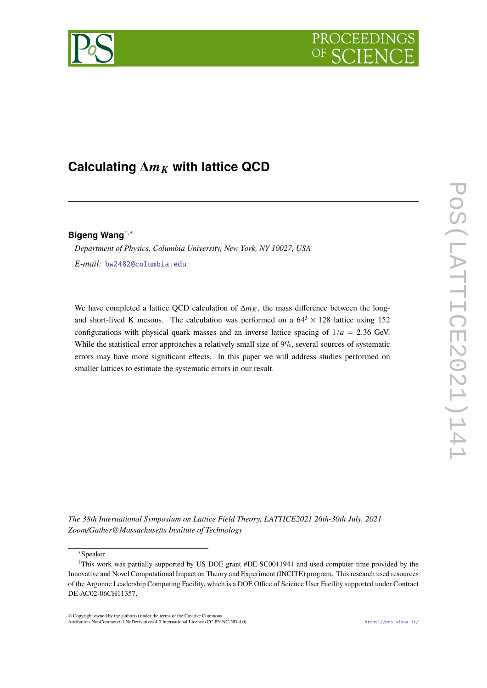

# Calculating  $\Delta m_K$  with lattice QCD

# **Bigeng Wang**†,<sup>∗</sup>

*Department of Physics, Columbia University, New York, NY 10027, USA E-mail:* [bw2482@columbia.edu](mailto:bw2482@columbia.edu)

We have completed a lattice QCD calculation of  $\Delta m_K$ , the mass difference between the longand short-lived K mesons. The calculation was performed on a  $64^3 \times 128$  lattice using 152 configurations with physical quark masses and an inverse lattice spacing of  $1/a = 2.36$  GeV. While the statistical error approaches a relatively small size of 9%, several sources of systematic errors may have more significant effects. In this paper we will address studies performed on smaller lattices to estimate the systematic errors in our result.

*The 38th International Symposium on Lattice Field Theory, LATTICE2021 26th-30th July, 2021 Zoom/Gather@Massachusetts Institute of Technology*

<sup>∗</sup>Speaker

© Copyright owned by the author(s) under the terms of the Creative Commons Attribution-NonCommercial-NoDerivatives 4.0 International License (CC BY-NC-ND 4.0). <https://pos.sissa.it/>

<sup>†</sup>This work was partially supported by US DOE grant #DE-SC0011941 and used computer time provided by the Innovative and Novel Computational Impact on Theory and Experiment (INCITE) program. This research used resources of the Argonne Leadership Computing Facility, which is a DOE Office of Science User Facility supported under Contract DE-AC02-06CH11357.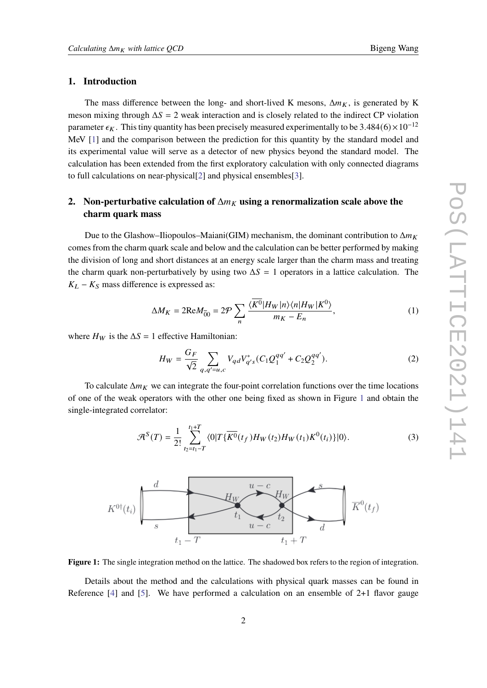### **1. Introduction**

The mass difference between the long- and short-lived K mesons,  $\Delta m_K$ , is generated by K meson mixing through  $\Delta S = 2$  weak interaction and is closely related to the indirect CP violation parameter  $\epsilon_K$ . This tiny quantity has been precisely measured experimentally to be 3.484(6) × 10<sup>-12</sup> MeV [\[1\]](#page-8-0) and the comparison between the prediction for this quantity by the standard model and its experimental value will serve as a detector of new physics beyond the standard model. The calculation has been extended from the first exploratory calculation with only connected diagrams to full calculations on near-physical[\[2\]](#page-8-1) and physical ensembles[\[3\]](#page-8-2).

# <span id="page-1-1"></span>**2.** Non-perturbative calculation of  $\Delta m_K$  using a renormalization scale above the **charm quark mass**

Due to the Glashow–Iliopoulos–Maiani(GIM) mechanism, the dominant contribution to  $\Delta m_K$ comes from the charm quark scale and below and the calculation can be better performed by making the division of long and short distances at an energy scale larger than the charm mass and treating the charm quark non-perturbatively by using two  $\Delta S = 1$  operators in a lattice calculation. The  $K_L - K_S$  mass difference is expressed as:

$$
\Delta M_K = 2\text{Re}M_{\overline{0}0} = 2\mathcal{P} \sum_n \frac{\langle \overline{K^0} | H_W | n \rangle \langle n | H_W | K^0 \rangle}{m_K - E_n},\tag{1}
$$

where  $H_W$  is the  $\Delta S = 1$  effective Hamiltonian:

$$
H_W = \frac{G_F}{\sqrt{2}} \sum_{q,q'=u,c} V_{qd} V_{q's}^* (C_1 Q_1^{qq'} + C_2 Q_2^{qq'}).
$$
 (2)

To calculate  $\Delta m_K$  we can integrate the four-point correlation functions over the time locations of one of the weak operators with the other one being fixed as shown in Figure [1](#page-1-0) and obtain the single-integrated correlator:

$$
\mathcal{A}^{S}(T) = \frac{1}{2!} \sum_{t_2 = t_1 - T}^{t_1 + T} \langle 0|T\{\overline{K^0}(t_f)H_W(t_2)H_W(t_1)K^0(t_i)\}|0\rangle.
$$
 (3)

<span id="page-1-0"></span>

**Figure 1:** The single integration method on the lattice. The shadowed box refers to the region of integration.

Details about the method and the calculations with physical quark masses can be found in Reference  $[4]$  and  $[5]$ . We have performed a calculation on an ensemble of 2+1 flavor gauge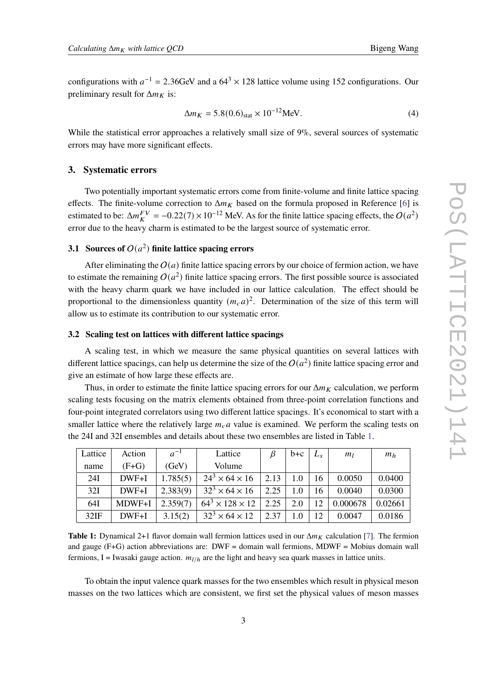configurations with  $a^{-1} = 2.36$ GeV and a  $64<sup>3</sup> \times 128$  lattice volume using 152 configurations. Our preliminary result for  $\Delta m_K$  is:

$$
\Delta m_K = 5.8(0.6)_{\text{stat}} \times 10^{-12} \text{MeV}.
$$
 (4)

While the statistical error approaches a relatively small size of 9%, several sources of systematic errors may have more significant effects.

#### **3. Systematic errors**

Two potentially important systematic errors come from finite-volume and finite lattice spacing effects. The finite-volume correction to  $\Delta m_K$  based on the formula proposed in Reference [\[6\]](#page-8-5) is estimated to be:  $\Delta m_K^{FV} = -0.22(7) \times 10^{-12}$  MeV. As for the finite lattice spacing effects, the  $O(a^2)$ error due to the heavy charm is estimated to be the largest source of systematic error.

## **3.1** Sources of  $O(a^2)$  finite lattice spacing errors

After eliminating the  $O(a)$  finite lattice spacing errors by our choice of fermion action, we have to estimate the remaining  $O(a^2)$  finite lattice spacing errors. The first possible source is associated with the heavy charm quark we have included in our lattice calculation. The effect should be proportional to the dimensionless quantity  $(m_c a)^2$ . Determination of the size of this term will allow us to estimate its contribution to our systematic error.

#### **3.2 Scaling test on lattices with different lattice spacings**

A scaling test, in which we measure the same physical quantities on several lattices with different lattice spacings, can help us determine the size of the  $O(a^2)$  finite lattice spacing error and give an estimate of how large these effects are.

Thus, in order to estimate the finite lattice spacing errors for our  $\Delta m_K$  calculation, we perform scaling tests focusing on the matrix elements obtained from three-point correlation functions and four-point integrated correlators using two different lattice spacings. It's economical to start with a smaller lattice where the relatively large  $m_c a$  value is examined. We perform the scaling tests on the 24I and 32I ensembles and details about these two ensembles are listed in Table [1.](#page-2-0)

<span id="page-2-0"></span>

| Lattice | Action  | $a^{-1}$ | Lattice                     | ß    | $b+c$   | $L_{\mathfrak{e}}$ | m <sub>l</sub> | m <sub>h</sub> |
|---------|---------|----------|-----------------------------|------|---------|--------------------|----------------|----------------|
| name    | $(F+G)$ | (GeV)    | Volume                      |      |         |                    |                |                |
| 24I     | $DWF+I$ | 1.785(5) | $24^3 \times 64 \times 16$  | 2.13 | 1.0     | 16                 | 0.0050         | 0.0400         |
| 32I     | $DWF+I$ | 2.383(9) | $32^3 \times 64 \times 16$  | 2.25 | 1.0     | 16                 | 0.0040         | 0.0300         |
| 64I     | MDWF+I  | 2.359(7) | $64^3 \times 128 \times 12$ | 2.25 | 2.0     | 12                 | 0.000678       | 0.02661        |
| 32IF    | $DWF+I$ | 3.15(2)  | $32^3 \times 64 \times 12$  | 2.37 | $1.0\,$ | 12                 | 0.0047         | 0.0186         |

**Table 1:** Dynamical 2+1 flavor domain wall fermion lattices used in our  $\Delta m_K$  calculation [\[7\]](#page-8-6). The fermion and gauge  $(F+G)$  action abbreviations are:  $DWF =$  domain wall fermions, MDWF = Mobius domain wall fermions, I = Iwasaki gauge action.  $m_{1/h}$  are the light and heavy sea quark masses in lattice units.

To obtain the input valence quark masses for the two ensembles which result in physical meson masses on the two lattices which are consistent, we first set the physical values of meson masses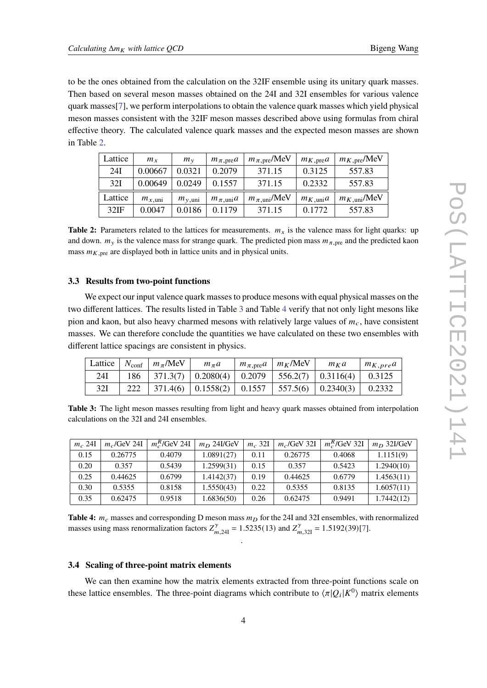to be the ones obtained from the calculation on the 32IF ensemble using its unitary quark masses. Then based on several meson masses obtained on the 24I and 32I ensembles for various valence quark masses[\[7\]](#page-8-6), we perform interpolations to obtain the valence quark masses which yield physical meson masses consistent with the 32IF meson masses described above using formulas from chiral effective theory. The calculated valence quark masses and the expected meson masses are shown in Table [2.](#page-3-0)

<span id="page-3-0"></span>

| Lattice | $m_{x}$            | $m_{v}$            | $m_{\pi, \text{pre}}a$ | $m_{\pi, \text{pre}}/MeV$  | $m_{K, \text{pre}}a$ | $m_{K,\text{pre}}/\text{MeV}$ |
|---------|--------------------|--------------------|------------------------|----------------------------|----------------------|-------------------------------|
| 24I     | 0.00667            | 0.0321             | 0.2079                 | 371.15                     | 0.3125               | 557.83                        |
| 32I     | 0.00649            | 0.0249             | 0.1557                 | 371.15                     | 0.2332               | 557.83                        |
| Lattice | $m_{x,\text{uni}}$ | $m_{v,\text{uni}}$ | $m_{\pi, \text{uni}}a$ | $m_{\pi, \text{uni}}$ /MeV | $m_{K,\text{uni}}a$  | $m_{K,\text{uni}}$ /MeV       |
| 32IF    | 0.0047             | 0.0186             | 0.1179                 | 371.15                     | 0.1772               | 557.83                        |

**Table 2:** Parameters related to the lattices for measurements.  $m_x$  is the valence mass for light quarks: up and down.  $m_y$  is the valence mass for strange quark. The predicted pion mass  $m_{\pi, \text{pre}}$  and the predicted kaon mass  $m_{K,pre}$  are displayed both in lattice units and in physical units.

#### **3.3 Results from two-point functions**

We expect our input valence quark masses to produce mesons with equal physical masses on the two different lattices. The results listed in Table [3](#page-3-1) and Table [4](#page-3-2) verify that not only light mesons like pion and kaon, but also heavy charmed mesons with relatively large values of  $m_c$ , have consistent masses. We can therefore conclude the quantities we have calculated on these two ensembles with different lattice spacings are consistent in physics.

<span id="page-3-1"></span>

| Lattice |     | $N_{\text{conf}}$ $m_{\pi}$ /MeV | $m_{\pi}a$                                     | $+ m_{\pi, \text{pre}} a + m_K/\text{MeV}$ | $m_K a$                            | $m_{K,pre}a$ |
|---------|-----|----------------------------------|------------------------------------------------|--------------------------------------------|------------------------------------|--------------|
| 24I     | 186 |                                  | $\mid$ 371.3(7) $\mid$ 0.2080(4) $\mid$ 0.2079 | 556.2(7)                                   | $\mid 0.3116(4) \mid$              | 0.3125       |
| 32I     |     |                                  | $371.4(6)$   0.1558(2)   0.1557                |                                            | $\vert$ 557.5(6) $\vert$ 0.2340(3) | 0.2332       |

**Table 3:** The light meson masses resulting from light and heavy quark masses obtained from interpolation calculations on the 32I and 24I ensembles.

<span id="page-3-2"></span>

| $m_c$ 24I | $m_c$ /GeV 24I | $m_c^R$ /GeV 24I | $m_D$ 24I/GeV | $m_c$ 32I | $m_c$ /GeV 32I | $m_c^R$ /GeV 32I | $m_D$ 32I/GeV |
|-----------|----------------|------------------|---------------|-----------|----------------|------------------|---------------|
| 0.15      | 0.26775        | 0.4079           | 1.0891(27)    | 0.11      | 0.26775        | 0.4068           | 1.1151(9)     |
| 0.20      | 0.357          | 0.5439           | 1.2599(31)    | 0.15      | 0.357          | 0.5423           | 1.2940(10)    |
| 0.25      | 0.44625        | 0.6799           | 1.4142(37)    | 0.19      | 0.44625        | 0.6779           | 1.4563(11)    |
| 0.30      | 0.5355         | 0.8158           | 1.5550(43)    | 0.22      | 0.5355         | 0.8135           | 1.6057(11)    |
| 0.35      | 0.62475        | 0.9518           | 1.6836(50)    | 0.26      | 0.62475        | 0.9491           | 1.7442(12)    |

**Table 4:**  $m_c$  masses and corresponding D meson mass  $m_D$  for the 24I and 32I ensembles, with renormalized masses using mass renormalization factors  $Z_{m,24I}^{\gamma} = 1.5235(13)$  and  $Z_{m,32I}^{\gamma} = 1.5192(39)[7]$  $Z_{m,32I}^{\gamma} = 1.5192(39)[7]$ .

.

#### **3.4 Scaling of three-point matrix elements**

We can then examine how the matrix elements extracted from three-point functions scale on these lattice ensembles. The three-point diagrams which contribute to  $\langle \pi | Q_i | K^0 \rangle$  matrix elements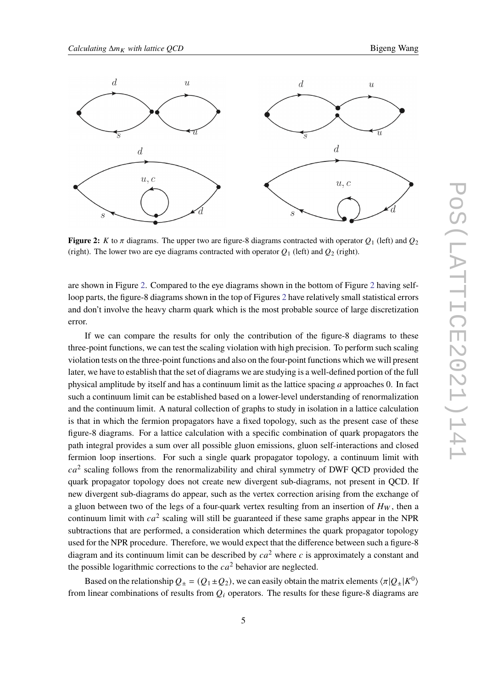<span id="page-4-0"></span>

**Figure 2:** K to  $\pi$  diagrams. The upper two are figure-8 diagrams contracted with operator  $Q_1$  (left) and  $Q_2$ (right). The lower two are eye diagrams contracted with operator  $Q_1$  (left) and  $Q_2$  (right).

are shown in Figure [2.](#page-4-0) Compared to the eye diagrams shown in the bottom of Figure [2](#page-4-0) having selfloop parts, the figure-8 diagrams shown in the top of Figures [2](#page-4-0) have relatively small statistical errors and don't involve the heavy charm quark which is the most probable source of large discretization error.

If we can compare the results for only the contribution of the figure-8 diagrams to these three-point functions, we can test the scaling violation with high precision. To perform such scaling violation tests on the three-point functions and also on the four-point functions which we will present later, we have to establish that the set of diagrams we are studying is a well-defined portion of the full physical amplitude by itself and has a continuum limit as the lattice spacing  $a$  approaches 0. In fact such a continuum limit can be established based on a lower-level understanding of renormalization and the continuum limit. A natural collection of graphs to study in isolation in a lattice calculation is that in which the fermion propagators have a fixed topology, such as the present case of these figure-8 diagrams. For a lattice calculation with a specific combination of quark propagators the path integral provides a sum over all possible gluon emissions, gluon self-interactions and closed fermion loop insertions. For such a single quark propagator topology, a continuum limit with  $ca<sup>2</sup>$  scaling follows from the renormalizability and chiral symmetry of DWF QCD provided the quark propagator topology does not create new divergent sub-diagrams, not present in QCD. If new divergent sub-diagrams do appear, such as the vertex correction arising from the exchange of a gluon between two of the legs of a four-quark vertex resulting from an insertion of  $H_W$ , then a continuum limit with  $ca^2$  scaling will still be guaranteed if these same graphs appear in the NPR subtractions that are performed, a consideration which determines the quark propagator topology used for the NPR procedure. Therefore, we would expect that the difference between such a figure-8 diagram and its continuum limit can be described by  $ca^2$  where c is approximately a constant and the possible logarithmic corrections to the  $ca^2$  behavior are neglected.

Based on the relationship  $Q_{\pm} = (Q_1 \pm Q_2)$ , we can easily obtain the matrix elements  $\langle \pi | Q_{\pm} | K^0 \rangle$ from linear combinations of results from  $Q_i$  operators. The results for these figure-8 diagrams are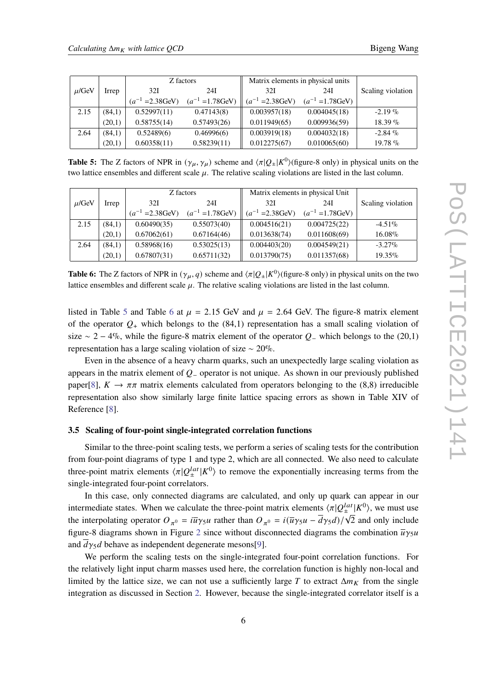<span id="page-5-0"></span>

| Z factors  |        |                       | Matrix elements in physical units |                       |                       |                   |
|------------|--------|-----------------------|-----------------------------------|-----------------------|-----------------------|-------------------|
| $\mu$ /GeV | Irrep  | 32I                   | 24I                               | 32I                   | 24I                   | Scaling violation |
|            |        | $(a^{-1} = 2.38$ GeV) | $(a^{-1} = 1.78$ GeV)             | $(a^{-1} = 2.38$ GeV) | $(a^{-1} = 1.78$ GeV) |                   |
| 2.15       | (84,1) | 0.52997(11)           | 0.47143(8)                        | 0.003957(18)          | 0.004045(18)          | $-2.19\%$         |
|            | (20,1) | 0.58755(14)           | 0.57493(26)                       | 0.011949(65)          | 0.009936(59)          | $18.39\%$         |
| 2.64       | (84,1) | 0.52489(6)            | 0.46996(6)                        | 0.003919(18)          | 0.004032(18)          | $-2.84\%$         |
|            | (20,1) | 0.60358(11)           | 0.58239(11)                       | 0.012275(67)          | 0.010065(60)          | $19.78\%$         |

**Table 5:** The Z factors of NPR in  $(\gamma_{\mu}, \gamma_{\mu})$  scheme and  $\langle \pi | Q_{\pm} | K^0 \rangle$  (figure-8 only) in physical units on the two lattice ensembles and different scale  $\mu$ . The relative scaling violations are listed in the last column.

<span id="page-5-1"></span>

|            |        | Z factors             |                       | Matrix elements in physical Unit |                       |                   |
|------------|--------|-----------------------|-----------------------|----------------------------------|-----------------------|-------------------|
| $\mu$ /GeV | Irrep  | 32I                   | 24I                   | 32I                              | 24I                   | Scaling violation |
|            |        | $(a^{-1} = 2.38$ GeV) | $(a^{-1} = 1.78$ GeV) | $(a^{-1} = 2.38$ GeV)            | $(a^{-1} = 1.78$ GeV) |                   |
| 2.15       | (84,1) | 0.60490(35)           | 0.55073(40)           | 0.004516(21)                     | 0.004725(22)          | $-4.51\%$         |
|            | (20,1) | 0.67062(61)           | 0.67164(46)           | 0.013638(74)                     | 0.011608(69)          | 16.08%            |
| 2.64       | (84,1) | 0.58968(16)           | 0.53025(13)           | 0.004403(20)                     | 0.004549(21)          | $-3.27\%$         |
|            | (20,1) | 0.67807(31)           | 0.65711(32)           | 0.013790(75)                     | 0.011357(68)          | $19.35\%$         |

**Table 6:** The Z factors of NPR in  $(\gamma_{\mu}, q)$  scheme and  $\langle \pi | Q_{\pm} | K^0 \rangle$  (figure-8 only) in physical units on the two lattice ensembles and different scale  $\mu$ . The relative scaling violations are listed in the last column.

listed in Table [5](#page-5-0) and Table [6](#page-5-1) at  $\mu = 2.15$  GeV and  $\mu = 2.64$  GeV. The figure-8 matrix element of the operator  $Q_+$  which belongs to the (84,1) representation has a small scaling violation of size  $\sim$  2 − 4%, while the figure-8 matrix element of the operator  $Q_-\$  which belongs to the (20,1) representation has a large scaling violation of size ∼ 20%.

Even in the absence of a heavy charm quarks, such an unexpectedly large scaling violation as appears in the matrix element of  $Q_-\$  operator is not unique. As shown in our previously published paper[\[8\]](#page-8-7),  $K \to \pi \pi$  matrix elements calculated from operators belonging to the (8,8) irreducible representation also show similarly large finite lattice spacing errors as shown in Table XIV of Reference [\[8\]](#page-8-7).

#### **3.5 Scaling of four-point single-integrated correlation functions**

Similar to the three-point scaling tests, we perform a series of scaling tests for the contribution from four-point diagrams of type 1 and type 2, which are all connected. We also need to calculate three-point matrix elements  $\langle \pi | Q_{\pm}^{lat} | K^{0} \rangle$  to remove the exponentially increasing terms from the single-integrated four-point correlators.

In this case, only connected diagrams are calculated, and only up quark can appear in our intermediate states. When we calculate the three-point matrix elements  $\langle \pi | Q_{\pm}^{lat} | K^0 \rangle$ , we must use the interpolating operator  $O_{\pi^0} = i\bar{u}\gamma_5 u$  rather than  $O_{\pi^0} = i(\bar{u}\gamma_5 u - \bar{d}\gamma_5 d)/\sqrt{2}$  and only include figure-8 diagrams shown in Figure [2](#page-4-0) since without disconnected diagrams the combination  $\overline{u}\gamma_5 u$ and  $dy_5d$  behave as independent degenerate mesons[\[9\]](#page-8-8).

We perform the scaling tests on the single-integrated four-point correlation functions. For the relatively light input charm masses used here, the correlation function is highly non-local and limited by the lattice size, we can not use a sufficiently large T to extract  $\Delta m_K$  from the single integration as discussed in Section [2.](#page-1-1) However, because the single-integrated correlator itself is a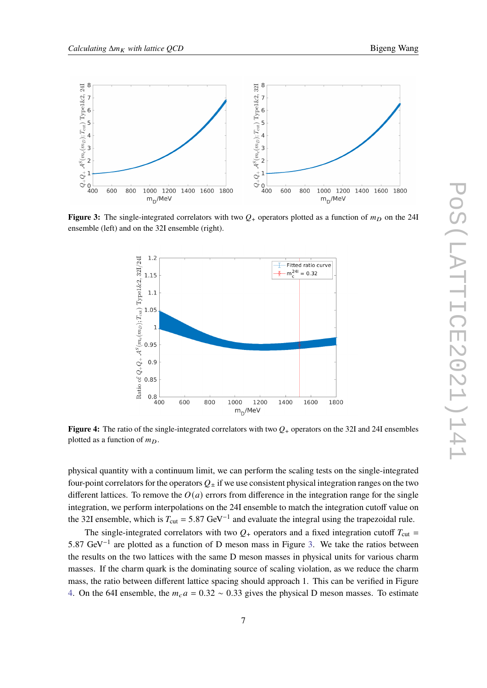<span id="page-6-0"></span>

<span id="page-6-1"></span>**Figure 3:** The single-integrated correlators with two  $Q_+$  operators plotted as a function of  $m<sub>D</sub>$  on the 24I ensemble (left) and on the 32I ensemble (right).



**Figure 4:** The ratio of the single-integrated correlators with two  $Q_{+}$  operators on the 32I and 24I ensembles plotted as a function of  $m_D$ .

physical quantity with a continuum limit, we can perform the scaling tests on the single-integrated four-point correlators for the operators  $Q_{+}$  if we use consistent physical integration ranges on the two different lattices. To remove the  $O(a)$  errors from difference in the integration range for the single integration, we perform interpolations on the 24I ensemble to match the integration cutoff value on the 32I ensemble, which is  $T_{\text{cut}} = 5.87 \text{ GeV}^{-1}$  and evaluate the integral using the trapezoidal rule.

The single-integrated correlators with two  $Q_+$  operators and a fixed integration cutoff  $T_{\text{cut}} =$ 5.87 GeV<sup>-1</sup> are plotted as a function of D meson mass in Figure [3.](#page-6-0) We take the ratios between the results on the two lattices with the same D meson masses in physical units for various charm masses. If the charm quark is the dominating source of scaling violation, as we reduce the charm mass, the ratio between different lattice spacing should approach 1. This can be verified in Figure [4.](#page-6-1) On the 64I ensemble, the  $m_c a = 0.32 \sim 0.33$  gives the physical D meson masses. To estimate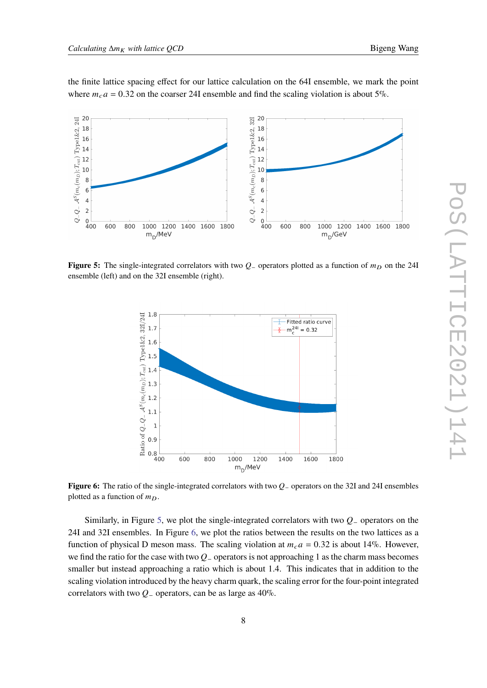the finite lattice spacing effect for our lattice calculation on the 64I ensemble, we mark the point where  $m_c a = 0.32$  on the coarser 24I ensemble and find the scaling violation is about 5%.

<span id="page-7-0"></span>

<span id="page-7-1"></span>**Figure 5:** The single-integrated correlators with two  $Q_-\$ operators plotted as a function of  $m<sub>D</sub>$  on the 24I ensemble (left) and on the 32I ensemble (right).



**Figure 6:** The ratio of the single-integrated correlators with two Q<sub>−</sub> operators on the 32I and 24I ensembles plotted as a function of  $m<sub>D</sub>$ .

Similarly, in Figure [5,](#page-7-0) we plot the single-integrated correlators with two  $Q_-\$  operators on the 24I and 32I ensembles. In Figure [6,](#page-7-1) we plot the ratios between the results on the two lattices as a function of physical D meson mass. The scaling violation at  $m_c a = 0.32$  is about 14%. However, we find the ratio for the case with two  $Q$ – operators is not approaching 1 as the charm mass becomes smaller but instead approaching a ratio which is about 1.4. This indicates that in addition to the scaling violation introduced by the heavy charm quark, the scaling error for the four-point integrated correlators with two  $Q_$ − operators, can be as large as 40%.